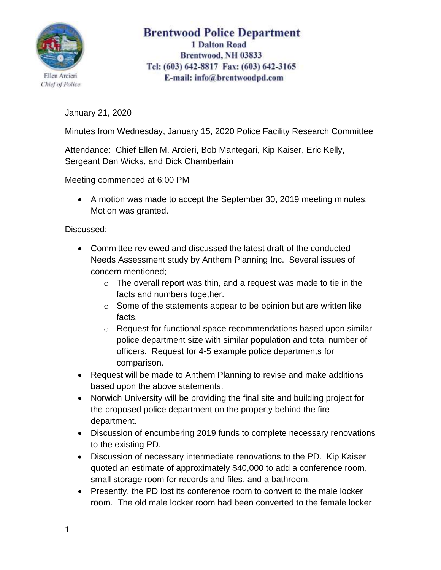

## **Brentwood Police Department 1 Dalton Road** Brentwood, NH 03833 Tel: (603) 642-8817 Fax: (603) 642-3165 E-mail: info@brentwoodpd.com

January 21, 2020

Minutes from Wednesday, January 15, 2020 Police Facility Research Committee

Attendance: Chief Ellen M. Arcieri, Bob Mantegari, Kip Kaiser, Eric Kelly, Sergeant Dan Wicks, and Dick Chamberlain

Meeting commenced at 6:00 PM

• A motion was made to accept the September 30, 2019 meeting minutes. Motion was granted.

Discussed:

- Committee reviewed and discussed the latest draft of the conducted Needs Assessment study by Anthem Planning Inc. Several issues of concern mentioned;
	- $\circ$  The overall report was thin, and a request was made to tie in the facts and numbers together.
	- $\circ$  Some of the statements appear to be opinion but are written like facts.
	- o Request for functional space recommendations based upon similar police department size with similar population and total number of officers. Request for 4-5 example police departments for comparison.
- Request will be made to Anthem Planning to revise and make additions based upon the above statements.
- Norwich University will be providing the final site and building project for the proposed police department on the property behind the fire department.
- Discussion of encumbering 2019 funds to complete necessary renovations to the existing PD.
- Discussion of necessary intermediate renovations to the PD. Kip Kaiser quoted an estimate of approximately \$40,000 to add a conference room, small storage room for records and files, and a bathroom.
- Presently, the PD lost its conference room to convert to the male locker room. The old male locker room had been converted to the female locker